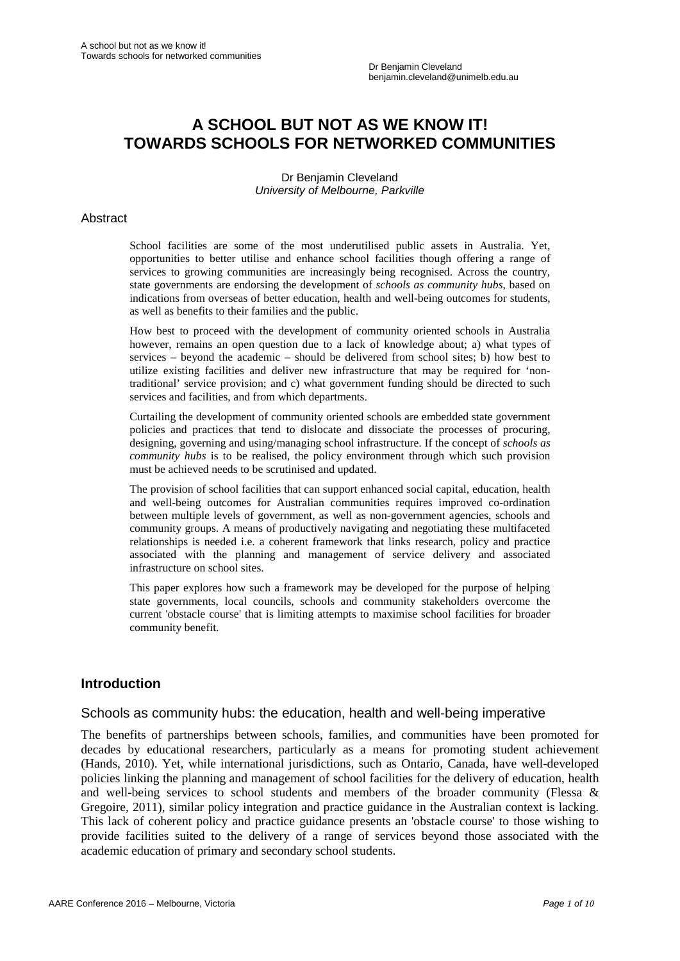# **A SCHOOL BUT NOT AS WE KNOW IT! TOWARDS SCHOOLS FOR NETWORKED COMMUNITIES**

Dr Benjamin Cleveland *University of Melbourne, Parkville*

#### Abstract

School facilities are some of the most underutilised public assets in Australia. Yet, opportunities to better utilise and enhance school facilities though offering a range of services to growing communities are increasingly being recognised. Across the country, state governments are endorsing the development of *schools as community hubs*, based on indications from overseas of better education, health and well-being outcomes for students, as well as benefits to their families and the public.

How best to proceed with the development of community oriented schools in Australia however, remains an open question due to a lack of knowledge about; a) what types of services – beyond the academic – should be delivered from school sites; b) how best to utilize existing facilities and deliver new infrastructure that may be required for 'nontraditional' service provision; and c) what government funding should be directed to such services and facilities, and from which departments.

Curtailing the development of community oriented schools are embedded state government policies and practices that tend to dislocate and dissociate the processes of procuring, designing, governing and using/managing school infrastructure. If the concept of *schools as community hubs* is to be realised, the policy environment through which such provision must be achieved needs to be scrutinised and updated.

The provision of school facilities that can support enhanced social capital, education, health and well-being outcomes for Australian communities requires improved co-ordination between multiple levels of government, as well as non-government agencies, schools and community groups. A means of productively navigating and negotiating these multifaceted relationships is needed i.e. a coherent framework that links research, policy and practice associated with the planning and management of service delivery and associated infrastructure on school sites.

This paper explores how such a framework may be developed for the purpose of helping state governments, local councils, schools and community stakeholders overcome the current 'obstacle course' that is limiting attempts to maximise school facilities for broader community benefit.

#### **Introduction**

#### Schools as community hubs: the education, health and well-being imperative

The benefits of partnerships between schools, families, and communities have been promoted for decades by educational researchers, particularly as a means for promoting student achievement (Hands, 2010). Yet, while international jurisdictions, such as Ontario, Canada, have well-developed policies linking the planning and management of school facilities for the delivery of education, health and well-being services to school students and members of the broader community (Flessa & Gregoire, 2011), similar policy integration and practice guidance in the Australian context is lacking. This lack of coherent policy and practice guidance presents an 'obstacle course' to those wishing to provide facilities suited to the delivery of a range of services beyond those associated with the academic education of primary and secondary school students.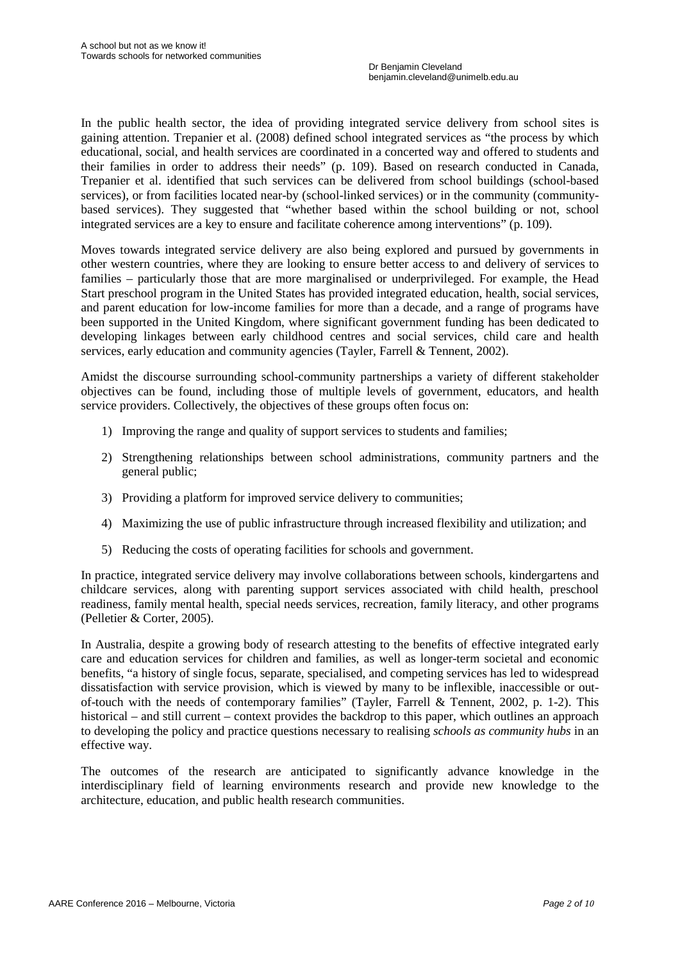In the public health sector, the idea of providing integrated service delivery from school sites is gaining attention. Trepanier et al. (2008) defined school integrated services as "the process by which educational, social, and health services are coordinated in a concerted way and offered to students and their families in order to address their needs" (p. 109). Based on research conducted in Canada, Trepanier et al. identified that such services can be delivered from school buildings (school-based services), or from facilities located near-by (school-linked services) or in the community (communitybased services). They suggested that "whether based within the school building or not, school integrated services are a key to ensure and facilitate coherence among interventions" (p. 109).

Moves towards integrated service delivery are also being explored and pursued by governments in other western countries, where they are looking to ensure better access to and delivery of services to families – particularly those that are more marginalised or underprivileged. For example, the Head Start preschool program in the United States has provided integrated education, health, social services, and parent education for low-income families for more than a decade, and a range of programs have been supported in the United Kingdom, where significant government funding has been dedicated to developing linkages between early childhood centres and social services, child care and health services, early education and community agencies (Tayler, Farrell & Tennent, 2002).

Amidst the discourse surrounding school-community partnerships a variety of different stakeholder objectives can be found, including those of multiple levels of government, educators, and health service providers. Collectively, the objectives of these groups often focus on:

- 1) Improving the range and quality of support services to students and families;
- 2) Strengthening relationships between school administrations, community partners and the general public;
- 3) Providing a platform for improved service delivery to communities;
- 4) Maximizing the use of public infrastructure through increased flexibility and utilization; and
- 5) Reducing the costs of operating facilities for schools and government.

In practice, integrated service delivery may involve collaborations between schools, kindergartens and childcare services, along with parenting support services associated with child health, preschool readiness, family mental health, special needs services, recreation, family literacy, and other programs (Pelletier & Corter, 2005).

In Australia, despite a growing body of research attesting to the benefits of effective integrated early care and education services for children and families, as well as longer-term societal and economic benefits, "a history of single focus, separate, specialised, and competing services has led to widespread dissatisfaction with service provision, which is viewed by many to be inflexible, inaccessible or outof-touch with the needs of contemporary families" (Tayler, Farrell & Tennent, 2002, p. 1-2). This historical – and still current – context provides the backdrop to this paper, which outlines an approach to developing the policy and practice questions necessary to realising *schools as community hubs* in an effective way.

The outcomes of the research are anticipated to significantly advance knowledge in the interdisciplinary field of learning environments research and provide new knowledge to the architecture, education, and public health research communities.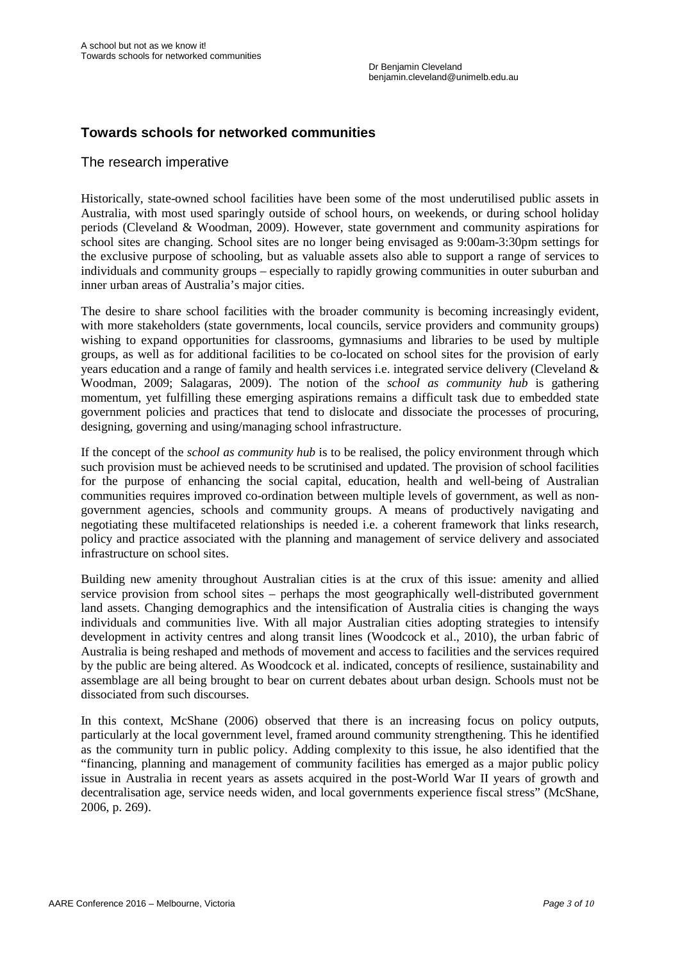## **Towards schools for networked communities**

#### The research imperative

Historically, state-owned school facilities have been some of the most underutilised public assets in Australia, with most used sparingly outside of school hours, on weekends, or during school holiday periods (Cleveland & Woodman, 2009). However, state government and community aspirations for school sites are changing. School sites are no longer being envisaged as 9:00am-3:30pm settings for the exclusive purpose of schooling, but as valuable assets also able to support a range of services to individuals and community groups – especially to rapidly growing communities in outer suburban and inner urban areas of Australia's major cities.

The desire to share school facilities with the broader community is becoming increasingly evident, with more stakeholders (state governments, local councils, service providers and community groups) wishing to expand opportunities for classrooms, gymnasiums and libraries to be used by multiple groups, as well as for additional facilities to be co-located on school sites for the provision of early years education and a range of family and health services i.e. integrated service delivery (Cleveland & Woodman, 2009; Salagaras, 2009). The notion of the *school as community hub* is gathering momentum, yet fulfilling these emerging aspirations remains a difficult task due to embedded state government policies and practices that tend to dislocate and dissociate the processes of procuring, designing, governing and using/managing school infrastructure.

If the concept of the *school as community hub* is to be realised, the policy environment through which such provision must be achieved needs to be scrutinised and updated. The provision of school facilities for the purpose of enhancing the social capital, education, health and well-being of Australian communities requires improved co-ordination between multiple levels of government, as well as nongovernment agencies, schools and community groups. A means of productively navigating and negotiating these multifaceted relationships is needed i.e. a coherent framework that links research, policy and practice associated with the planning and management of service delivery and associated infrastructure on school sites.

Building new amenity throughout Australian cities is at the crux of this issue: amenity and allied service provision from school sites – perhaps the most geographically well-distributed government land assets. Changing demographics and the intensification of Australia cities is changing the ways individuals and communities live. With all major Australian cities adopting strategies to intensify development in activity centres and along transit lines (Woodcock et al., 2010), the urban fabric of Australia is being reshaped and methods of movement and access to facilities and the services required by the public are being altered. As Woodcock et al. indicated, concepts of resilience, sustainability and assemblage are all being brought to bear on current debates about urban design. Schools must not be dissociated from such discourses.

In this context, McShane (2006) observed that there is an increasing focus on policy outputs, particularly at the local government level, framed around community strengthening. This he identified as the community turn in public policy. Adding complexity to this issue, he also identified that the "financing, planning and management of community facilities has emerged as a major public policy issue in Australia in recent years as assets acquired in the post-World War II years of growth and decentralisation age, service needs widen, and local governments experience fiscal stress" (McShane, 2006, p. 269).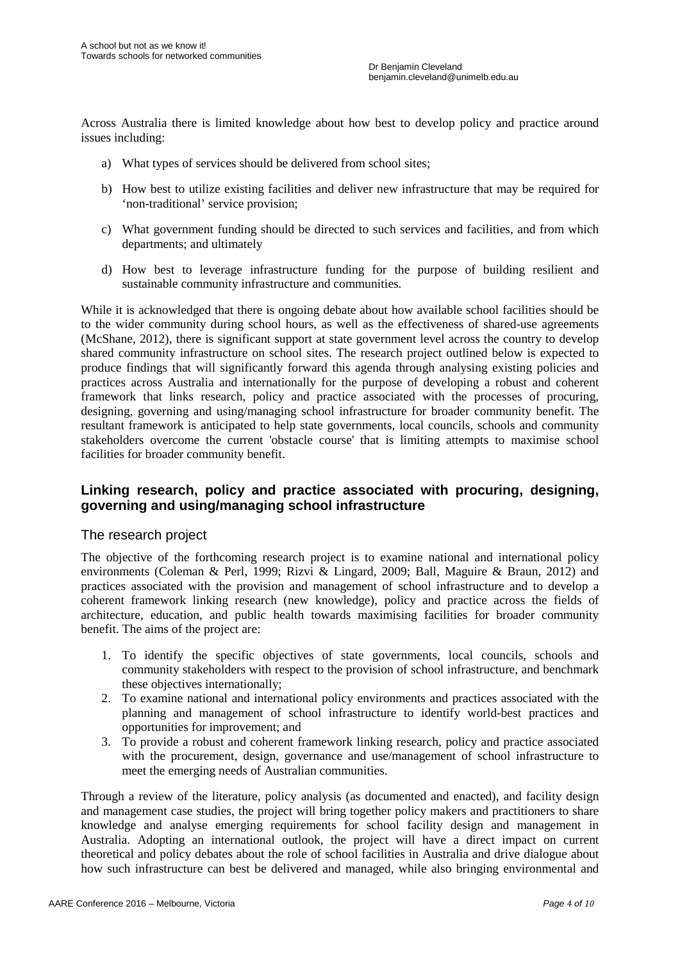Across Australia there is limited knowledge about how best to develop policy and practice around issues including:

- a) What types of services should be delivered from school sites;
- b) How best to utilize existing facilities and deliver new infrastructure that may be required for 'non-traditional' service provision;
- c) What government funding should be directed to such services and facilities, and from which departments; and ultimately
- d) How best to leverage infrastructure funding for the purpose of building resilient and sustainable community infrastructure and communities.

While it is acknowledged that there is ongoing debate about how available school facilities should be to the wider community during school hours, as well as the effectiveness of shared-use agreements (McShane, 2012), there is significant support at state government level across the country to develop shared community infrastructure on school sites. The research project outlined below is expected to produce findings that will significantly forward this agenda through analysing existing policies and practices across Australia and internationally for the purpose of developing a robust and coherent framework that links research, policy and practice associated with the processes of procuring, designing, governing and using/managing school infrastructure for broader community benefit. The resultant framework is anticipated to help state governments, local councils, schools and community stakeholders overcome the current 'obstacle course' that is limiting attempts to maximise school facilities for broader community benefit.

## **Linking research, policy and practice associated with procuring, designing, governing and using/managing school infrastructure**

#### The research project

The objective of the forthcoming research project is to examine national and international policy environments (Coleman & Perl, 1999; Rizvi & Lingard, 2009; Ball, Maguire & Braun, 2012) and practices associated with the provision and management of school infrastructure and to develop a coherent framework linking research (new knowledge), policy and practice across the fields of architecture, education, and public health towards maximising facilities for broader community benefit. The aims of the project are:

- 1. To identify the specific objectives of state governments, local councils, schools and community stakeholders with respect to the provision of school infrastructure, and benchmark these objectives internationally;
- 2. To examine national and international policy environments and practices associated with the planning and management of school infrastructure to identify world-best practices and opportunities for improvement; and
- 3. To provide a robust and coherent framework linking research, policy and practice associated with the procurement, design, governance and use/management of school infrastructure to meet the emerging needs of Australian communities.

Through a review of the literature, policy analysis (as documented and enacted), and facility design and management case studies, the project will bring together policy makers and practitioners to share knowledge and analyse emerging requirements for school facility design and management in Australia. Adopting an international outlook, the project will have a direct impact on current theoretical and policy debates about the role of school facilities in Australia and drive dialogue about how such infrastructure can best be delivered and managed, while also bringing environmental and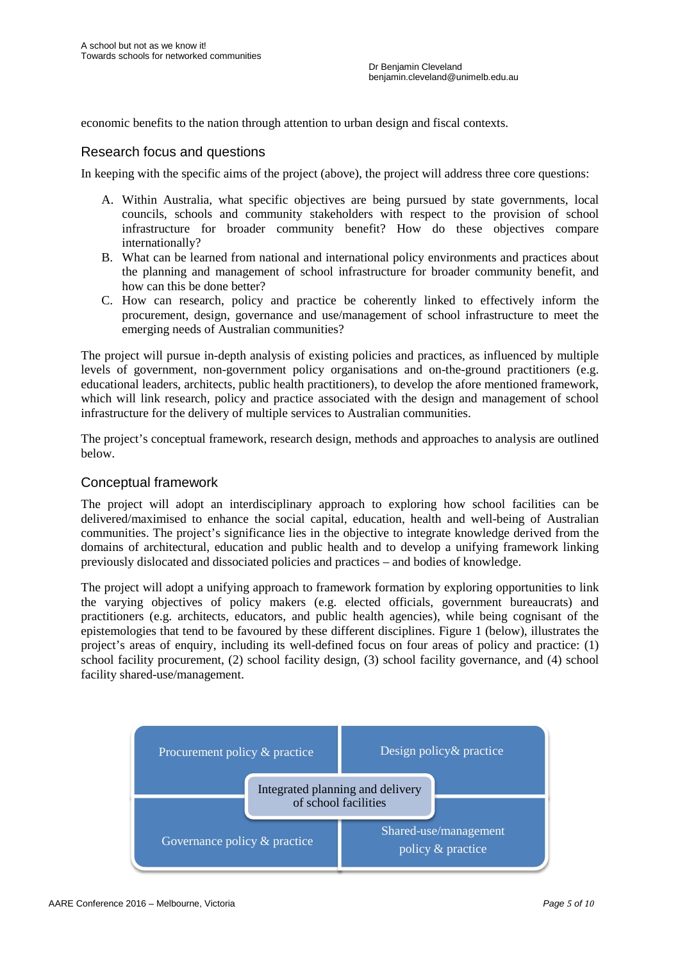economic benefits to the nation through attention to urban design and fiscal contexts.

#### Research focus and questions

In keeping with the specific aims of the project (above), the project will address three core questions:

- A. Within Australia, what specific objectives are being pursued by state governments, local councils, schools and community stakeholders with respect to the provision of school infrastructure for broader community benefit? How do these objectives compare internationally?
- B. What can be learned from national and international policy environments and practices about the planning and management of school infrastructure for broader community benefit, and how can this be done better?
- C. How can research, policy and practice be coherently linked to effectively inform the procurement, design, governance and use/management of school infrastructure to meet the emerging needs of Australian communities?

The project will pursue in-depth analysis of existing policies and practices, as influenced by multiple levels of government, non-government policy organisations and on-the-ground practitioners (e.g. educational leaders, architects, public health practitioners), to develop the afore mentioned framework, which will link research, policy and practice associated with the design and management of school infrastructure for the delivery of multiple services to Australian communities.

The project's conceptual framework, research design, methods and approaches to analysis are outlined below.

#### Conceptual framework

The project will adopt an interdisciplinary approach to exploring how school facilities can be delivered/maximised to enhance the social capital, education, health and well-being of Australian communities. The project's significance lies in the objective to integrate knowledge derived from the domains of architectural, education and public health and to develop a unifying framework linking previously dislocated and dissociated policies and practices – and bodies of knowledge.

The project will adopt a unifying approach to framework formation by exploring opportunities to link the varying objectives of policy makers (e.g. elected officials, government bureaucrats) and practitioners (e.g. architects, educators, and public health agencies), while being cognisant of the epistemologies that tend to be favoured by these different disciplines. Figure 1 (below), illustrates the project's areas of enquiry, including its well-defined focus on four areas of policy and practice: (1) school facility procurement, (2) school facility design, (3) school facility governance, and (4) school facility shared-use/management.

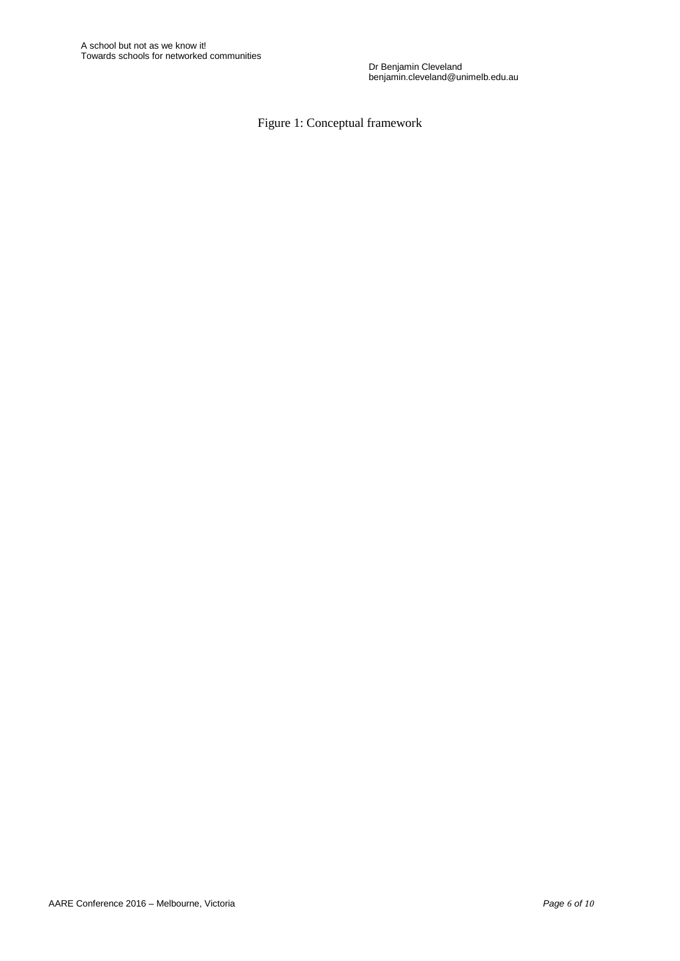Dr Benjamin Cleveland benjamin.cleveland@unimelb.edu.au

Figure 1: Conceptual framework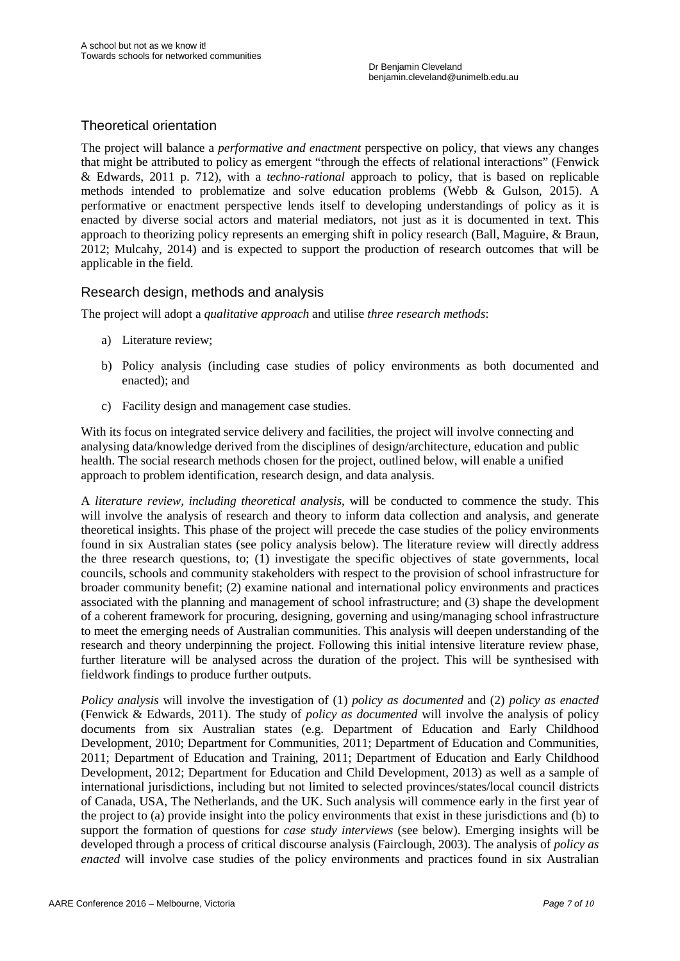## Theoretical orientation

The project will balance a *performative and enactment* perspective on policy, that views any changes that might be attributed to policy as emergent "through the effects of relational interactions" (Fenwick & Edwards, 2011 p. 712), with a *techno-rational* approach to policy, that is based on replicable methods intended to problematize and solve education problems (Webb & Gulson, 2015). A performative or enactment perspective lends itself to developing understandings of policy as it is enacted by diverse social actors and material mediators, not just as it is documented in text. This approach to theorizing policy represents an emerging shift in policy research (Ball, Maguire, & Braun, 2012; Mulcahy, 2014) and is expected to support the production of research outcomes that will be applicable in the field.

#### Research design, methods and analysis

The project will adopt a *qualitative approach* and utilise *three research methods*:

- a) Literature review;
- b) Policy analysis (including case studies of policy environments as both documented and enacted); and
- c) Facility design and management case studies.

With its focus on integrated service delivery and facilities, the project will involve connecting and analysing data/knowledge derived from the disciplines of design/architecture, education and public health. The social research methods chosen for the project, outlined below, will enable a unified approach to problem identification, research design, and data analysis.

A *literature review, including theoretical analysis*, will be conducted to commence the study. This will involve the analysis of research and theory to inform data collection and analysis, and generate theoretical insights. This phase of the project will precede the case studies of the policy environments found in six Australian states (see policy analysis below). The literature review will directly address the three research questions, to; (1) investigate the specific objectives of state governments, local councils, schools and community stakeholders with respect to the provision of school infrastructure for broader community benefit; (2) examine national and international policy environments and practices associated with the planning and management of school infrastructure; and (3) shape the development of a coherent framework for procuring, designing, governing and using/managing school infrastructure to meet the emerging needs of Australian communities. This analysis will deepen understanding of the research and theory underpinning the project. Following this initial intensive literature review phase, further literature will be analysed across the duration of the project. This will be synthesised with fieldwork findings to produce further outputs.

*Policy analysis* will involve the investigation of (1) *policy as documented* and (2) *policy as enacted* (Fenwick & Edwards, 2011). The study of *policy as documented* will involve the analysis of policy documents from six Australian states (e.g. Department of Education and Early Childhood Development, 2010; Department for Communities, 2011; Department of Education and Communities, 2011; Department of Education and Training, 2011; Department of Education and Early Childhood Development, 2012; Department for Education and Child Development, 2013) as well as a sample of international jurisdictions, including but not limited to selected provinces/states/local council districts of Canada, USA, The Netherlands, and the UK. Such analysis will commence early in the first year of the project to (a) provide insight into the policy environments that exist in these jurisdictions and (b) to support the formation of questions for *case study interviews* (see below). Emerging insights will be developed through a process of critical discourse analysis (Fairclough, 2003). The analysis of *policy as enacted* will involve case studies of the policy environments and practices found in six Australian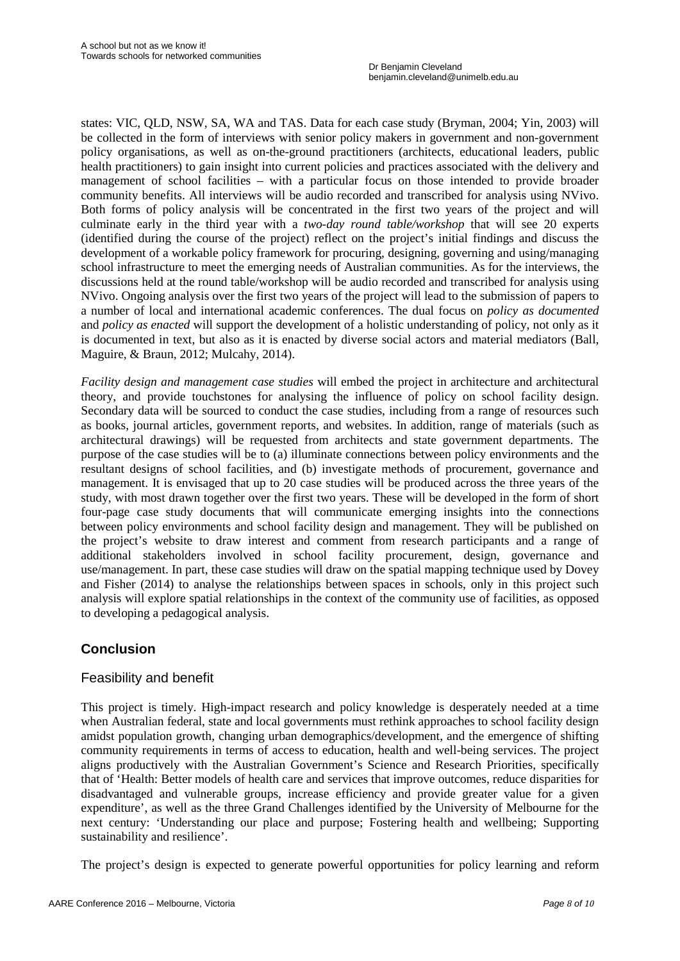Dr Benjamin Cleveland benjamin.cleveland@unimelb.edu.au

states: VIC, QLD, NSW, SA, WA and TAS. Data for each case study (Bryman, 2004; Yin, 2003) will be collected in the form of interviews with senior policy makers in government and non-government policy organisations, as well as on-the-ground practitioners (architects, educational leaders, public health practitioners) to gain insight into current policies and practices associated with the delivery and management of school facilities – with a particular focus on those intended to provide broader community benefits. All interviews will be audio recorded and transcribed for analysis using NVivo. Both forms of policy analysis will be concentrated in the first two years of the project and will culminate early in the third year with a *two-day round table/workshop* that will see 20 experts (identified during the course of the project) reflect on the project's initial findings and discuss the development of a workable policy framework for procuring, designing, governing and using/managing school infrastructure to meet the emerging needs of Australian communities. As for the interviews, the discussions held at the round table/workshop will be audio recorded and transcribed for analysis using NVivo. Ongoing analysis over the first two years of the project will lead to the submission of papers to a number of local and international academic conferences. The dual focus on *policy as documented* and *policy as enacted* will support the development of a holistic understanding of policy, not only as it is documented in text, but also as it is enacted by diverse social actors and material mediators (Ball, Maguire, & Braun, 2012; Mulcahy, 2014).

*Facility design and management case studies* will embed the project in architecture and architectural theory, and provide touchstones for analysing the influence of policy on school facility design. Secondary data will be sourced to conduct the case studies, including from a range of resources such as books, journal articles, government reports, and websites. In addition, range of materials (such as architectural drawings) will be requested from architects and state government departments. The purpose of the case studies will be to (a) illuminate connections between policy environments and the resultant designs of school facilities, and (b) investigate methods of procurement, governance and management. It is envisaged that up to 20 case studies will be produced across the three years of the study, with most drawn together over the first two years. These will be developed in the form of short four-page case study documents that will communicate emerging insights into the connections between policy environments and school facility design and management. They will be published on the project's website to draw interest and comment from research participants and a range of additional stakeholders involved in school facility procurement, design, governance and use/management. In part, these case studies will draw on the spatial mapping technique used by Dovey and Fisher (2014) to analyse the relationships between spaces in schools, only in this project such analysis will explore spatial relationships in the context of the community use of facilities, as opposed to developing a pedagogical analysis.

## **Conclusion**

## Feasibility and benefit

This project is timely. High-impact research and policy knowledge is desperately needed at a time when Australian federal, state and local governments must rethink approaches to school facility design amidst population growth, changing urban demographics/development, and the emergence of shifting community requirements in terms of access to education, health and well-being services. The project aligns productively with the Australian Government's Science and Research Priorities, specifically that of 'Health: Better models of health care and services that improve outcomes, reduce disparities for disadvantaged and vulnerable groups, increase efficiency and provide greater value for a given expenditure', as well as the three Grand Challenges identified by the University of Melbourne for the next century: 'Understanding our place and purpose; Fostering health and wellbeing; Supporting sustainability and resilience'.

The project's design is expected to generate powerful opportunities for policy learning and reform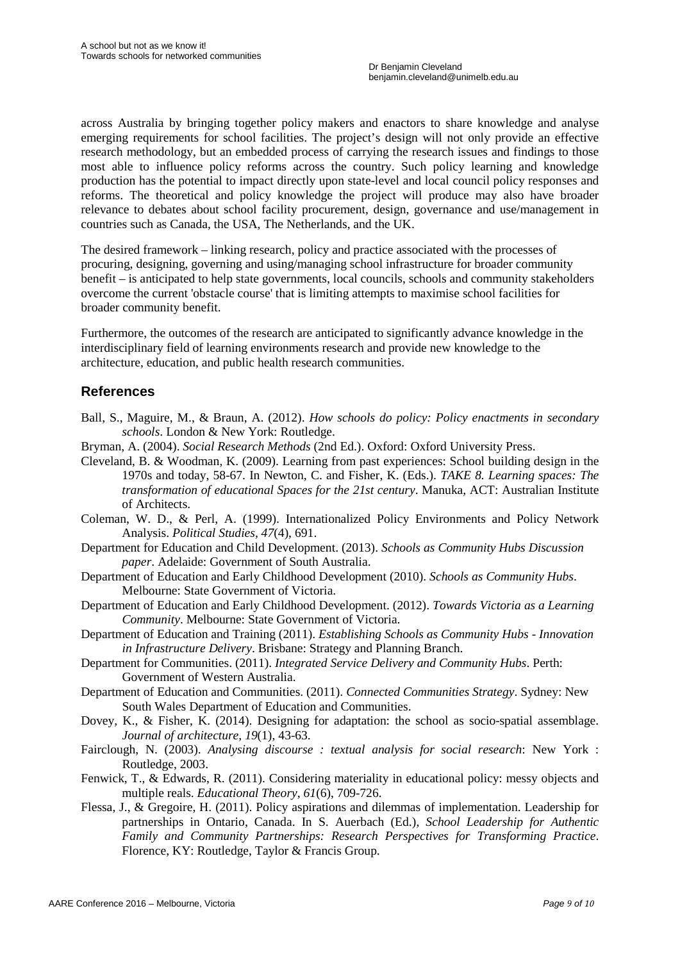across Australia by bringing together policy makers and enactors to share knowledge and analyse emerging requirements for school facilities. The project's design will not only provide an effective research methodology, but an embedded process of carrying the research issues and findings to those most able to influence policy reforms across the country. Such policy learning and knowledge production has the potential to impact directly upon state-level and local council policy responses and reforms. The theoretical and policy knowledge the project will produce may also have broader relevance to debates about school facility procurement, design, governance and use/management in countries such as Canada, the USA, The Netherlands, and the UK.

The desired framework – linking research, policy and practice associated with the processes of procuring, designing, governing and using/managing school infrastructure for broader community benefit – is anticipated to help state governments, local councils, schools and community stakeholders overcome the current 'obstacle course' that is limiting attempts to maximise school facilities for broader community benefit.

Furthermore, the outcomes of the research are anticipated to significantly advance knowledge in the interdisciplinary field of learning environments research and provide new knowledge to the architecture, education, and public health research communities.

## **References**

- Ball, S., Maguire, M., & Braun, A. (2012). *How schools do policy: Policy enactments in secondary schools*. London & New York: Routledge.
- Bryman, A. (2004). *Social Research Methods* (2nd Ed.). Oxford: Oxford University Press.
- Cleveland, B. & Woodman, K. (2009). Learning from past experiences: School building design in the 1970s and today, 58-67. In Newton, C. and Fisher, K. (Eds.). *TAKE 8. Learning spaces: The transformation of educational Spaces for the 21st century*. Manuka, ACT: Australian Institute of Architects.
- Coleman, W. D., & Perl, A. (1999). Internationalized Policy Environments and Policy Network Analysis. *Political Studies, 47*(4), 691.
- Department for Education and Child Development. (2013). *Schools as Community Hubs Discussion paper*. Adelaide: Government of South Australia.
- Department of Education and Early Childhood Development (2010). *Schools as Community Hubs*. Melbourne: State Government of Victoria.
- Department of Education and Early Childhood Development. (2012). *Towards Victoria as a Learning Community*. Melbourne: State Government of Victoria.
- Department of Education and Training (2011). *Establishing Schools as Community Hubs - Innovation in Infrastructure Delivery*. Brisbane: Strategy and Planning Branch.
- Department for Communities. (2011). *Integrated Service Delivery and Community Hubs*. Perth: Government of Western Australia.
- Department of Education and Communities. (2011). *Connected Communities Strategy*. Sydney: New South Wales Department of Education and Communities.
- Dovey, K., & Fisher, K. (2014). Designing for adaptation: the school as socio-spatial assemblage. *Journal of architecture, 19*(1), 43-63.
- Fairclough, N. (2003). *Analysing discourse : textual analysis for social research*: New York : Routledge, 2003.
- Fenwick, T., & Edwards, R. (2011). Considering materiality in educational policy: messy objects and multiple reals. *Educational Theory, 61*(6), 709-726.
- Flessa, J., & Gregoire, H. (2011). Policy aspirations and dilemmas of implementation. Leadership for partnerships in Ontario, Canada. In S. Auerbach (Ed.), *School Leadership for Authentic Family and Community Partnerships: Research Perspectives for Transforming Practice*. Florence, KY: Routledge, Taylor & Francis Group.